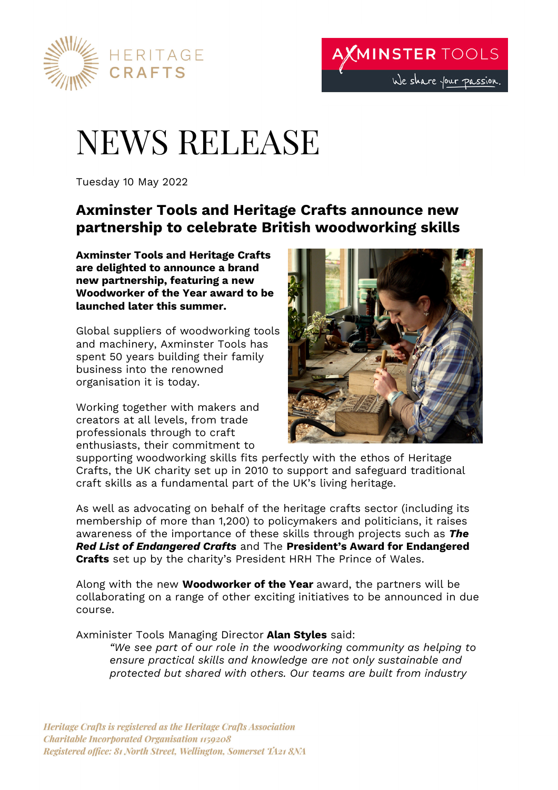

# NEWS RELEASE

Tuesday 10 May 2022

# **Axminster Tools and Heritage Crafts announce new partnership to celebrate British woodworking skills**

**Axminster Tools and Heritage Crafts are delighted to announce a brand new partnership, featuring a new Woodworker of the Year award to be launched later this summer.** 

Global suppliers of woodworking tools and machinery, Axminster Tools has spent 50 years building their family business into the renowned organisation it is today.

Working together with makers and creators at all levels, from trade professionals through to craft enthusiasts, their commitment to



supporting woodworking skills fits perfectly with the ethos of Heritage Crafts, the UK charity set up in 2010 to support and safeguard traditional craft skills as a fundamental part of the UK's living heritage.

As well as advocating on behalf of the heritage crafts sector (including its membership of more than 1,200) to policymakers and politicians, it raises awareness of the importance of these skills through projects such as *The Red List of Endangered Crafts* and The **President's Award for Endangered Crafts** set up by the charity's President HRH The Prince of Wales.

Along with the new **Woodworker of the Year** award, the partners will be collaborating on a range of other exciting initiatives to be announced in due course.

Axminister Tools Managing Director **Alan Styles** said:

*"We see part of our role in the woodworking community as helping to ensure practical skills and knowledge are not only sustainable and protected but shared with others. Our teams are built from industry*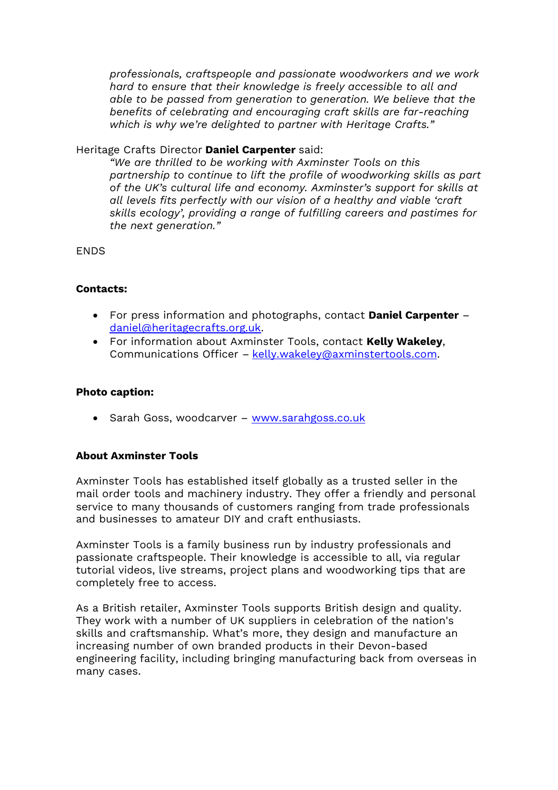*professionals, craftspeople and passionate woodworkers and we work hard to ensure that their knowledge is freely accessible to all and able to be passed from generation to generation. We believe that the benefits of celebrating and encouraging craft skills are far-reaching which is why we're delighted to partner with Heritage Crafts."*

#### Heritage Crafts Director **Daniel Carpenter** said:

*"We are thrilled to be working with Axminster Tools on this partnership to continue to lift the profile of woodworking skills as part of the UK's cultural life and economy. Axminster's support for skills at all levels fits perfectly with our vision of a healthy and viable 'craft skills ecology', providing a range of fulfilling careers and pastimes for the next generation."*

ENDS

## **Contacts:**

- For press information and photographs, contact **Daniel Carpenter** daniel@heritagecrafts.org.uk.
- For information about Axminster Tools, contact **Kelly Wakeley**, Communications Officer – kelly.wakeley@axminstertools.com.

#### **Photo caption:**

• Sarah Goss, woodcarver – www.sarahgoss.co.uk

## **About Axminster Tools**

Axminster Tools has established itself globally as a trusted seller in the mail order tools and machinery industry. They offer a friendly and personal service to many thousands of customers ranging from trade professionals and businesses to amateur DIY and craft enthusiasts.

Axminster Tools is a family business run by industry professionals and passionate craftspeople. Their knowledge is accessible to all, via regular tutorial videos, live streams, project plans and woodworking tips that are completely free to access.

As a British retailer, Axminster Tools supports British design and quality. They work with a number of UK suppliers in celebration of the nation's skills and craftsmanship. What's more, they design and manufacture an increasing number of own branded products in their Devon-based engineering facility, including bringing manufacturing back from overseas in many cases.